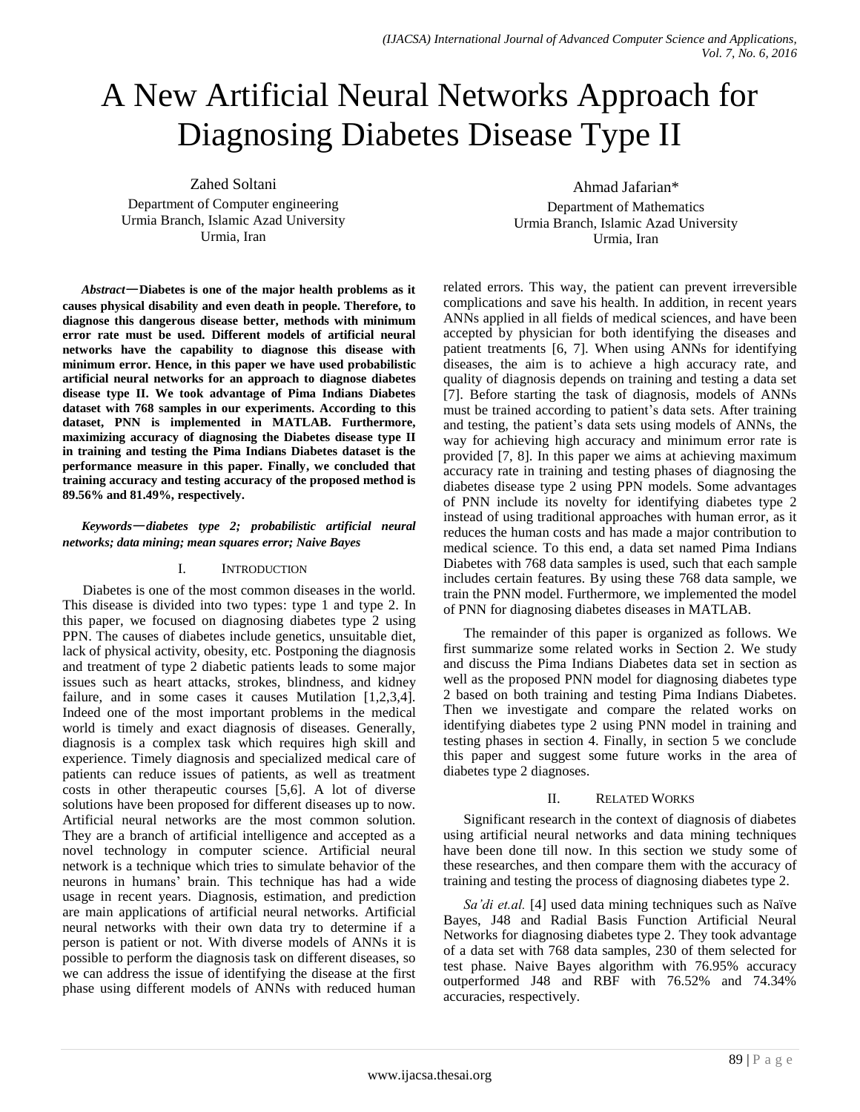# A New Artificial Neural Networks Approach for Diagnosing Diabetes Disease Type II

Zahed Soltani Department of Computer engineering Urmia Branch, Islamic Azad University Urmia, Iran

*Abstract*—**Diabetes is one of the major health problems as it causes physical disability and even death in people. Therefore, to diagnose this dangerous disease better, methods with minimum error rate must be used. Different models of artificial neural networks have the capability to diagnose this disease with minimum error. Hence, in this paper we have used probabilistic artificial neural networks for an approach to diagnose diabetes disease type II. We took advantage of Pima Indians Diabetes dataset with 768 samples in our experiments. According to this dataset, PNN is implemented in MATLAB. Furthermore, maximizing accuracy of diagnosing the Diabetes disease type II in training and testing the Pima Indians Diabetes dataset is the performance measure in this paper. Finally, we concluded that training accuracy and testing accuracy of the proposed method is 89.56% and 81.49%, respectively.** 

# *Keywords*—*diabetes type 2; probabilistic artificial neural networks; data mining; mean squares error; Naive Bayes*

## I. INTRODUCTION

Diabetes is one of the most common diseases in the world. This disease is divided into two types: type 1 and type 2. In this paper, we focused on diagnosing diabetes type 2 using PPN. The causes of diabetes include genetics, unsuitable diet, lack of physical activity, obesity, etc. Postponing the diagnosis and treatment of type 2 diabetic patients leads to some major issues such as heart attacks, strokes, blindness, and kidney failure, and in some cases it causes Mutilation [1,2,3,4]. Indeed one of the most important problems in the medical world is timely and exact diagnosis of diseases. Generally, diagnosis is a complex task which requires high skill and experience. Timely diagnosis and specialized medical care of patients can reduce issues of patients, as well as treatment costs in other therapeutic courses [5,6]. A lot of diverse solutions have been proposed for different diseases up to now. Artificial neural networks are the most common solution. They are a branch of artificial intelligence and accepted as a novel technology in computer science. Artificial neural network is a technique which tries to simulate behavior of the neurons in humans' brain. This technique has had a wide usage in recent years. Diagnosis, estimation, and prediction are main applications of artificial neural networks. Artificial neural networks with their own data try to determine if a person is patient or not. With diverse models of ANNs it is possible to perform the diagnosis task on different diseases, so we can address the issue of identifying the disease at the first phase using different models of ANNs with reduced human

Ahmad Jafarian\* Department of Mathematics Urmia Branch, Islamic Azad University

Urmia, Iran

related errors. This way, the patient can prevent irreversible complications and save his health. In addition, in recent years ANNs applied in all fields of medical sciences, and have been accepted by physician for both identifying the diseases and patient treatments [6, 7]. When using ANNs for identifying diseases, the aim is to achieve a high accuracy rate, and quality of diagnosis depends on training and testing a data set [7]. Before starting the task of diagnosis, models of ANNs must be trained according to patient's data sets. After training and testing, the patient's data sets using models of ANNs, the way for achieving high accuracy and minimum error rate is provided [7, 8]. In this paper we aims at achieving maximum accuracy rate in training and testing phases of diagnosing the diabetes disease type 2 using PPN models. Some advantages of PNN include its novelty for identifying diabetes type 2 instead of using traditional approaches with human error, as it reduces the human costs and has made a major contribution to medical science. To this end, a data set named Pima Indians Diabetes with 768 data samples is used, such that each sample includes certain features. By using these 768 data sample, we train the PNN model. Furthermore, we implemented the model of PNN for diagnosing diabetes diseases in MATLAB.

The remainder of this paper is organized as follows. We first summarize some related works in Section 2. We study and discuss the Pima Indians Diabetes data set in section as well as the proposed PNN model for diagnosing diabetes type 2 based on both training and testing Pima Indians Diabetes. Then we investigate and compare the related works on identifying diabetes type 2 using PNN model in training and testing phases in section 4. Finally, in section 5 we conclude this paper and suggest some future works in the area of diabetes type 2 diagnoses.

## II. RELATED WORKS

Significant research in the context of diagnosis of diabetes using artificial neural networks and data mining techniques have been done till now. In this section we study some of these researches, and then compare them with the accuracy of training and testing the process of diagnosing diabetes type 2.

*Sa'di et.al.* [4] used data mining techniques such as Naïve Bayes, J48 and Radial Basis Function Artificial Neural Networks for diagnosing diabetes type 2. They took advantage of a data set with 768 data samples, 230 of them selected for test phase. Naive Bayes algorithm with 76.95% accuracy outperformed J48 and RBF with 76.52% and 74.34% accuracies, respectively.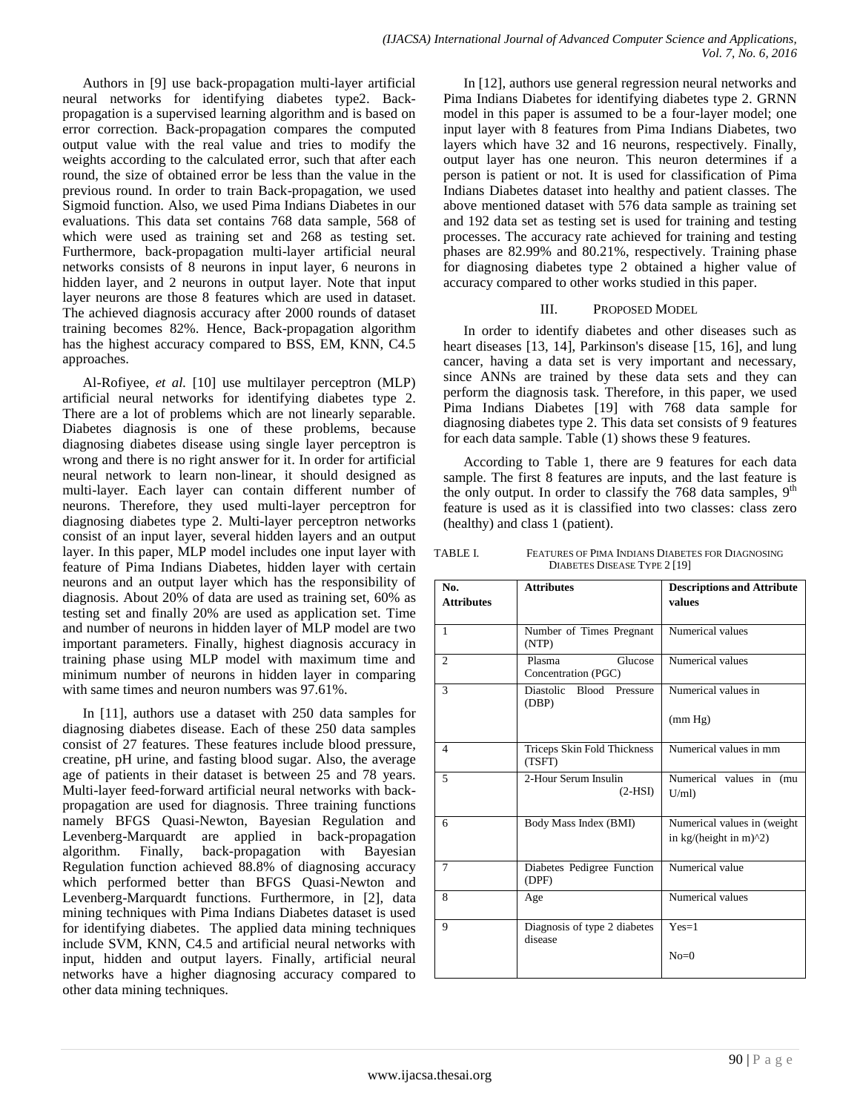Authors in [9] use back-propagation multi-layer artificial neural networks for identifying diabetes type2. Backpropagation is a supervised learning algorithm and is based on error correction. Back-propagation compares the computed output value with the real value and tries to modify the weights according to the calculated error, such that after each round, the size of obtained error be less than the value in the previous round. In order to train Back-propagation, we used Sigmoid function. Also, we used Pima Indians Diabetes in our evaluations. This data set contains 768 data sample, 568 of which were used as training set and 268 as testing set. Furthermore, back-propagation multi-layer artificial neural networks consists of 8 neurons in input layer, 6 neurons in hidden layer, and 2 neurons in output layer. Note that input layer neurons are those 8 features which are used in dataset. The achieved diagnosis accuracy after 2000 rounds of dataset training becomes 82%. Hence, Back-propagation algorithm has the highest accuracy compared to BSS, EM, KNN, C4.5 approaches.

Al-Rofiyee, *et al.* [10] use multilayer perceptron (MLP) artificial neural networks for identifying diabetes type 2. There are a lot of problems which are not linearly separable. Diabetes diagnosis is one of these problems, because diagnosing diabetes disease using single layer perceptron is wrong and there is no right answer for it. In order for artificial neural network to learn non-linear, it should designed as multi-layer. Each layer can contain different number of neurons. Therefore, they used multi-layer perceptron for diagnosing diabetes type 2. Multi-layer perceptron networks consist of an input layer, several hidden layers and an output layer. In this paper, MLP model includes one input layer with feature of Pima Indians Diabetes, hidden layer with certain neurons and an output layer which has the responsibility of diagnosis. About 20% of data are used as training set, 60% as testing set and finally 20% are used as application set. Time and number of neurons in hidden layer of MLP model are two important parameters. Finally, highest diagnosis accuracy in training phase using MLP model with maximum time and minimum number of neurons in hidden layer in comparing with same times and neuron numbers was 97.61%.

In [11], authors use a dataset with 250 data samples for diagnosing diabetes disease. Each of these 250 data samples consist of 27 features. These features include blood pressure, creatine, pH urine, and fasting blood sugar. Also, the average age of patients in their dataset is between 25 and 78 years. Multi-layer feed-forward artificial neural networks with backpropagation are used for diagnosis. Three training functions namely BFGS Quasi-Newton, Bayesian Regulation and Levenberg-Marquardt are applied in back-propagation algorithm. Finally, back-propagation with Bayesian algorithm. Finally, back-propagation Regulation function achieved 88.8% of diagnosing accuracy which performed better than BFGS Quasi-Newton and Levenberg-Marquardt functions. Furthermore, in [2], data mining techniques with Pima Indians Diabetes dataset is used for identifying diabetes. The applied data mining techniques include SVM, KNN, C4.5 and artificial neural networks with input, hidden and output layers. Finally, artificial neural networks have a higher diagnosing accuracy compared to other data mining techniques.

In [12], authors use general regression neural networks and Pima Indians Diabetes for identifying diabetes type 2. GRNN model in this paper is assumed to be a four-layer model; one input layer with 8 features from Pima Indians Diabetes, two layers which have 32 and 16 neurons, respectively. Finally, output layer has one neuron. This neuron determines if a person is patient or not. It is used for classification of Pima Indians Diabetes dataset into healthy and patient classes. The above mentioned dataset with 576 data sample as training set and 192 data set as testing set is used for training and testing processes. The accuracy rate achieved for training and testing phases are 82.99% and 80.21%, respectively. Training phase for diagnosing diabetes type 2 obtained a higher value of accuracy compared to other works studied in this paper.

## III. PROPOSED MODEL

In order to identify diabetes and other diseases such as heart diseases [13, 14], Parkinson's disease [15, 16], and lung cancer, having a data set is very important and necessary, since ANNs are trained by these data sets and they can perform the diagnosis task. Therefore, in this paper, we used Pima Indians Diabetes [19] with 768 data sample for diagnosing diabetes type 2. This data set consists of 9 features for each data sample. Table (1) shows these 9 features.

According to Table 1, there are 9 features for each data sample. The first 8 features are inputs, and the last feature is the only output. In order to classify the 768 data samples,  $9<sup>th</sup>$ feature is used as it is classified into two classes: class zero (healthy) and class 1 (patient).

TABLE I. FEATURES OF PIMA INDIANS DIABETES FOR DIAGNOSING DIABETES DISEASE TYPE 2 [19]

| No.               | <b>Attributes</b>                       | <b>Descriptions and Attribute</b> |  |
|-------------------|-----------------------------------------|-----------------------------------|--|
| <b>Attributes</b> |                                         | values                            |  |
|                   |                                         |                                   |  |
| $\mathbf{1}$      | Number of Times Pregnant<br>(NTP)       | Numerical values                  |  |
| $\overline{c}$    | Plasma<br>Glucose                       | Numerical values                  |  |
|                   | Concentration (PGC)                     |                                   |  |
| 3                 | Diastolic Blood Pressure<br>(DBP)       | Numerical values in               |  |
|                   |                                         | (mm Hg)                           |  |
| $\overline{4}$    | Triceps Skin Fold Thickness<br>(TSFT)   | Numerical values in mm            |  |
| 5                 | 2-Hour Serum Insulin                    | Numerical values in (mu           |  |
|                   | $(2-HSI)$                               | $U/ml$ )                          |  |
| 6                 | Body Mass Index (BMI)                   | Numerical values in (weight       |  |
|                   |                                         | in $kg/(height in m)^2)$          |  |
| $\tau$            | Diabetes Pedigree Function<br>(DPF)     | Numerical value                   |  |
| 8                 | Age                                     | Numerical values                  |  |
| $\mathbf Q$       | Diagnosis of type 2 diabetes<br>disease | $Yes=1$                           |  |
|                   |                                         | $No=0$                            |  |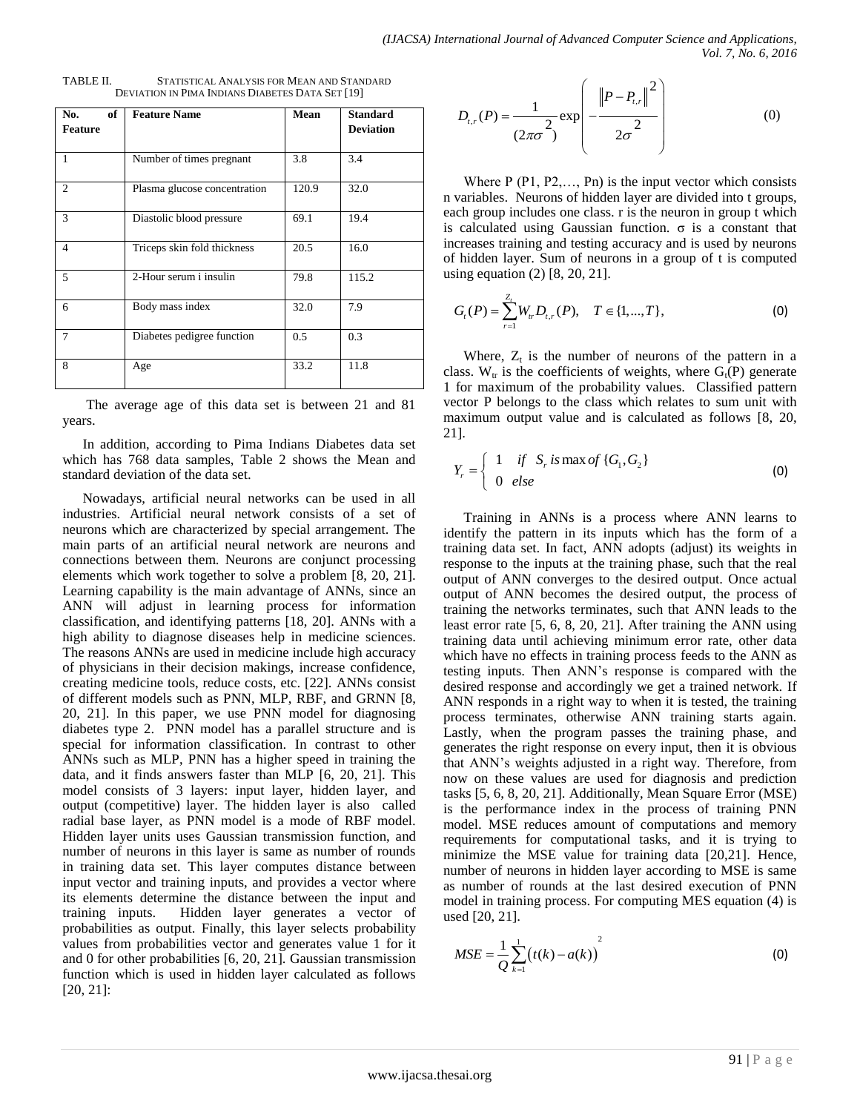| of<br>No.<br><b>Feature</b> | <b>Feature Name</b>          | Mean  | <b>Standard</b><br><b>Deviation</b> |
|-----------------------------|------------------------------|-------|-------------------------------------|
| 1                           | Number of times pregnant     | 3.8   | 3.4                                 |
| 2                           | Plasma glucose concentration | 120.9 | 32.0                                |
| 3                           | Diastolic blood pressure     | 69.1  | 19.4                                |
| $\overline{4}$              | Triceps skin fold thickness  | 20.5  | 16.0                                |
| 5                           | 2-Hour serum i insulin       | 79.8  | 115.2                               |
| 6                           | Body mass index              | 32.0  | 7.9                                 |
| 7                           | Diabetes pedigree function   | 0.5   | 0.3                                 |
| 8                           | Age                          | 33.2  | 11.8                                |

| TABLE II.                                        | STATISTICAL ANALYSIS FOR MEAN AND STANDARD |
|--------------------------------------------------|--------------------------------------------|
| DEVIATION IN PIMA INDIANS DIABETES DATA SET [19] |                                            |

The average age of this data set is between 21 and 81 years.

In addition, according to Pima Indians Diabetes data set which has 768 data samples, Table 2 shows the Mean and standard deviation of the data set.

Nowadays, artificial neural networks can be used in all industries. Artificial neural network consists of a set of neurons which are characterized by special arrangement. The main parts of an artificial neural network are neurons and connections between them. Neurons are conjunct processing elements which work together to solve a problem [8, 20, 21]. Learning capability is the main advantage of ANNs, since an ANN will adjust in learning process for information classification, and identifying patterns [18, 20]. ANNs with a high ability to diagnose diseases help in medicine sciences. The reasons ANNs are used in medicine include high accuracy of physicians in their decision makings, increase confidence, creating medicine tools, reduce costs, etc. [22]. ANNs consist of different models such as PNN, MLP, RBF, and GRNN [8, 20, 21]. In this paper, we use PNN model for diagnosing diabetes type 2. PNN model has a parallel structure and is special for information classification. In contrast to other ANNs such as MLP, PNN has a higher speed in training the data, and it finds answers faster than MLP [6, 20, 21]. This model consists of 3 layers: input layer, hidden layer, and output (competitive) layer. The hidden layer is also called radial base layer, as PNN model is a mode of RBF model. Hidden layer units uses Gaussian transmission function, and number of neurons in this layer is same as number of rounds in training data set. This layer computes distance between input vector and training inputs, and provides a vector where its elements determine the distance between the input and training inputs. Hidden layer generates a vector of probabilities as output. Finally, this layer selects probability values from probabilities vector and generates value 1 for it and 0 for other probabilities [6, 20, 21]. Gaussian transmission function which is used in hidden layer calculated as follows [20, 21]:

$$
D_{t,r}(P) = \frac{1}{(2\pi\sigma^2)} \exp\left(-\frac{\left\|P - P_{t,r}\right\|^2}{2\sigma^2}\right) \tag{0}
$$

Where  $P(P1, P2, \ldots, Pn)$  is the input vector which consists n variables. Neurons of hidden layer are divided into t groups, each group includes one class. r is the neuron in group t which is calculated using Gaussian function. σ is a constant that increases training and testing accuracy and is used by neurons of hidden layer. Sum of neurons in a group of t is computed using equation (2) [8, 20, 21].

$$
G_{t}(P) = \sum_{r=1}^{Z_{t}} W_{tr} D_{t,r}(P), \quad T \in \{1,...,T\},
$$
 (0)

Where,  $Z_t$  is the number of neurons of the pattern in a class.  $W_{tr}$  is the coefficients of weights, where  $G_t(P)$  generate 1 for maximum of the probability values. Classified pattern vector P belongs to the class which relates to sum unit with maximum output value and is calculated as follows [8, 20, 21].

$$
Y_r = \begin{cases} 1 & \text{if } S_r \text{ is max of } \{G_1, G_2\} \\ 0 & \text{else} \end{cases}
$$
 (0)

Training in ANNs is a process where ANN learns to identify the pattern in its inputs which has the form of a training data set. In fact, ANN adopts (adjust) its weights in response to the inputs at the training phase, such that the real output of ANN converges to the desired output. Once actual output of ANN becomes the desired output, the process of training the networks terminates, such that ANN leads to the least error rate [5, 6, 8, 20, 21]. After training the ANN using training data until achieving minimum error rate, other data which have no effects in training process feeds to the ANN as testing inputs. Then ANN's response is compared with the desired response and accordingly we get a trained network. If ANN responds in a right way to when it is tested, the training process terminates, otherwise ANN training starts again. Lastly, when the program passes the training phase, and generates the right response on every input, then it is obvious that ANN's weights adjusted in a right way. Therefore, from now on these values are used for diagnosis and prediction tasks [5, 6, 8, 20, 21]. Additionally, Mean Square Error (MSE) is the performance index in the process of training PNN model. MSE reduces amount of computations and memory requirements for computational tasks, and it is trying to minimize the MSE value for training data [20,21]. Hence, number of neurons in hidden layer according to MSE is same as number of rounds at the last desired execution of PNN model in training process. For computing MES equation (4) is used [20, 21].

$$
MSE = \frac{1}{Q} \sum_{k=1}^{1} (t(k) - a(k))^{2}
$$
 (0)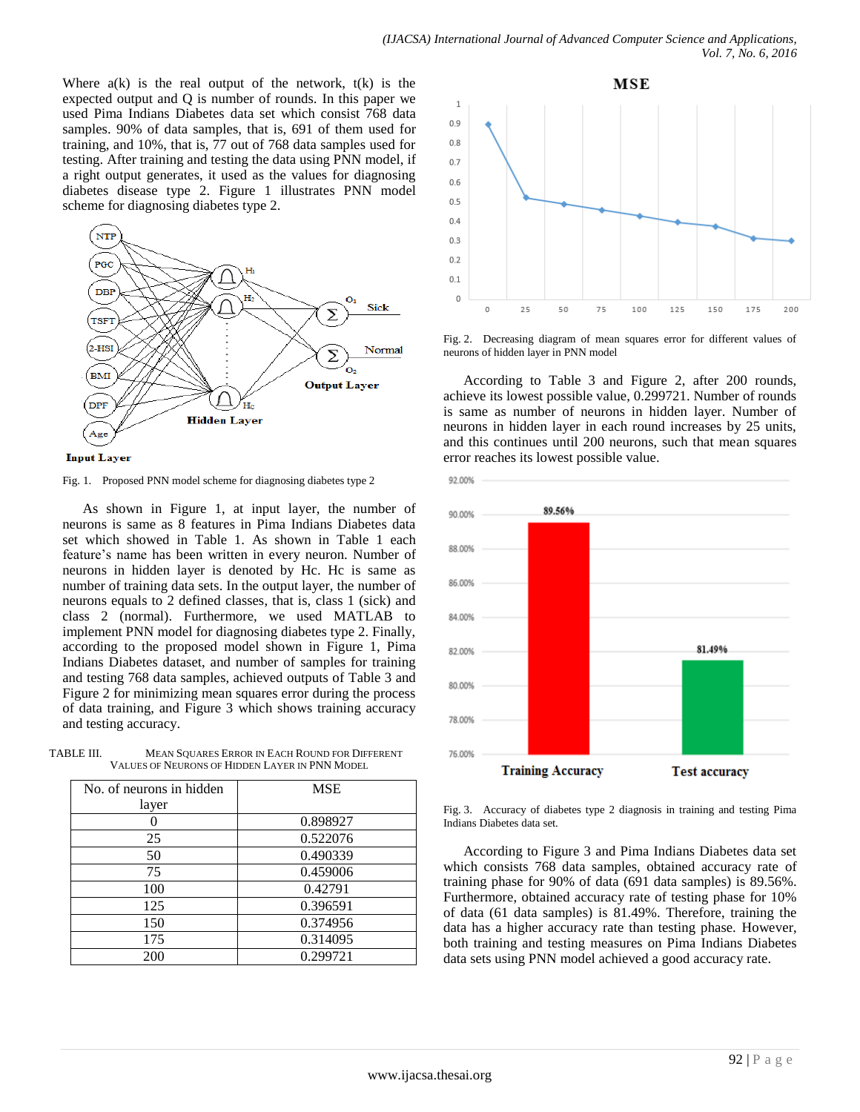Where  $a(k)$  is the real output of the network,  $t(k)$  is the expected output and Q is number of rounds. In this paper we used Pima Indians Diabetes data set which consist 768 data samples. 90% of data samples, that is, 691 of them used for training, and 10%, that is, 77 out of 768 data samples used for testing. After training and testing the data using PNN model, if a right output generates, it used as the values for diagnosing diabetes disease type 2. Figure 1 illustrates PNN model scheme for diagnosing diabetes type 2.





Fig. 1. Proposed PNN model scheme for diagnosing diabetes type 2

As shown in Figure 1, at input layer, the number of neurons is same as 8 features in Pima Indians Diabetes data set which showed in Table 1. As shown in Table 1 each feature's name has been written in every neuron. Number of neurons in hidden layer is denoted by Hc. Hc is same as number of training data sets. In the output layer, the number of neurons equals to 2 defined classes, that is, class 1 (sick) and class 2 (normal). Furthermore, we used MATLAB to implement PNN model for diagnosing diabetes type 2. Finally, according to the proposed model shown in Figure 1, Pima Indians Diabetes dataset, and number of samples for training and testing 768 data samples, achieved outputs of Table 3 and Figure 2 for minimizing mean squares error during the process of data training, and Figure 3 which shows training accuracy and testing accuracy.

TABLE III. MEAN SQUARES ERROR IN EACH ROUND FOR DIFFERENT VALUES OF NEURONS OF HIDDEN LAYER IN PNN MODEL

| No. of neurons in hidden<br>layer | <b>MSE</b> |
|-----------------------------------|------------|
|                                   | 0.898927   |
| 25                                | 0.522076   |
| 50                                | 0.490339   |
| 75                                | 0.459006   |
| 100                               | 0.42791    |
| 125                               | 0.396591   |
| 150                               | 0.374956   |
| 175                               | 0.314095   |
| 200                               | 0.299721   |



Fig. 2. Decreasing diagram of mean squares error for different values of neurons of hidden layer in PNN model

According to Table 3 and Figure 2, after 200 rounds, achieve its lowest possible value, 0.299721. Number of rounds is same as number of neurons in hidden layer. Number of neurons in hidden layer in each round increases by 25 units, and this continues until 200 neurons, such that mean squares error reaches its lowest possible value.



Fig. 3. Accuracy of diabetes type 2 diagnosis in training and testing Pima Indians Diabetes data set.

According to Figure 3 and Pima Indians Diabetes data set which consists 768 data samples, obtained accuracy rate of training phase for 90% of data (691 data samples) is 89.56%. Furthermore, obtained accuracy rate of testing phase for 10% of data (61 data samples) is 81.49%. Therefore, training the data has a higher accuracy rate than testing phase. However, both training and testing measures on Pima Indians Diabetes data sets using PNN model achieved a good accuracy rate.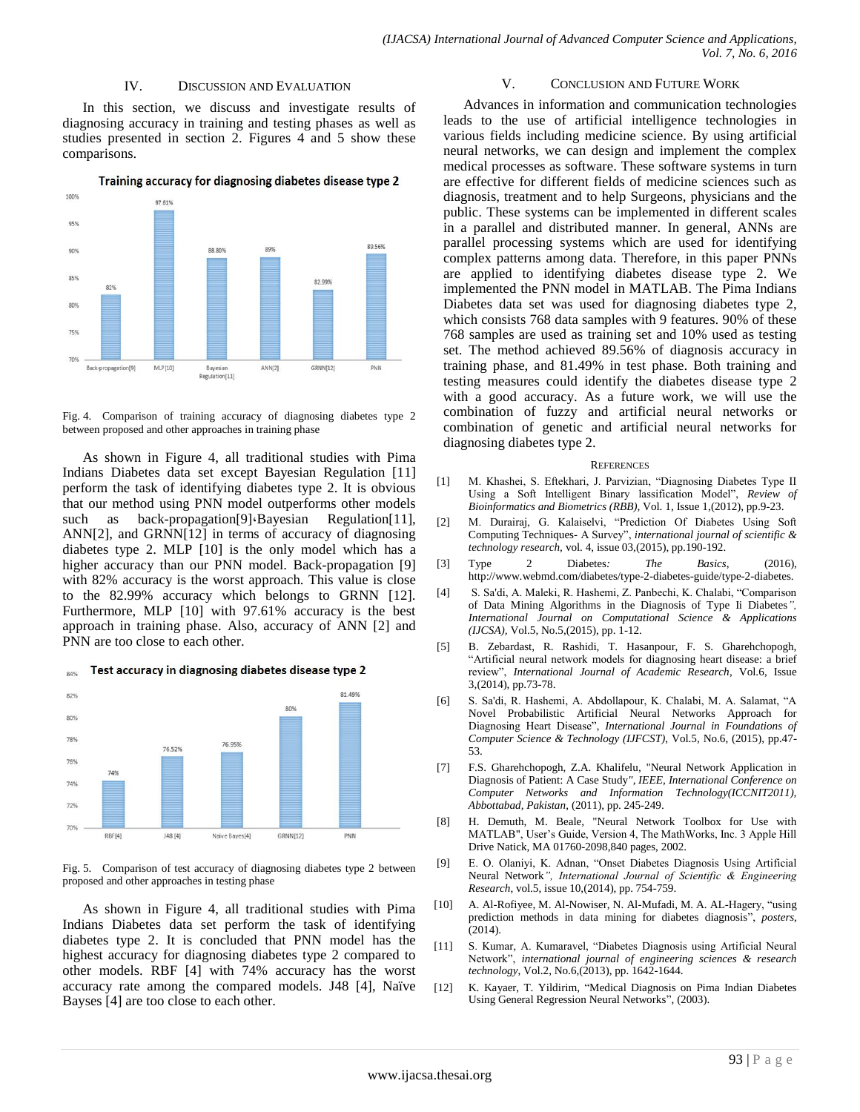#### IV. DISCUSSION AND EVALUATION

In this section, we discuss and investigate results of diagnosing accuracy in training and testing phases as well as studies presented in section 2. Figures 4 and 5 show these comparisons.



Training accuracy for diagnosing diabetes disease type 2

Fig. 4. Comparison of training accuracy of diagnosing diabetes type 2 between proposed and other approaches in training phase

As shown in Figure 4, all traditional studies with Pima Indians Diabetes data set except Bayesian Regulation [11] perform the task of identifying diabetes type 2. It is obvious that our method using PNN model outperforms other models such as back-propagation[9] Bayesian Regulation[11], ANN[2], and GRNN[12] in terms of accuracy of diagnosing diabetes type 2. MLP [10] is the only model which has a higher accuracy than our PNN model. Back-propagation [9] with 82% accuracy is the worst approach. This value is close to the 82.99% accuracy which belongs to GRNN [12]. Furthermore, MLP [10] with 97.61% accuracy is the best approach in training phase. Also, accuracy of ANN [2] and PNN are too close to each other.





Fig. 5. Comparison of test accuracy of diagnosing diabetes type 2 between proposed and other approaches in testing phase

As shown in Figure 4, all traditional studies with Pima Indians Diabetes data set perform the task of identifying diabetes type 2. It is concluded that PNN model has the highest accuracy for diagnosing diabetes type 2 compared to other models. RBF [4] with 74% accuracy has the worst accuracy rate among the compared models. J48 [4], Naïve Bayses [4] are too close to each other.

#### V. CONCLUSION AND FUTURE WORK

Advances in information and communication technologies leads to the use of artificial intelligence technologies in various fields including medicine science. By using artificial neural networks, we can design and implement the complex medical processes as software. These software systems in turn are effective for different fields of medicine sciences such as diagnosis, treatment and to help Surgeons, physicians and the public. These systems can be implemented in different scales in a parallel and distributed manner. In general, ANNs are parallel processing systems which are used for identifying complex patterns among data. Therefore, in this paper PNNs are applied to identifying diabetes disease type 2. We implemented the PNN model in MATLAB. The Pima Indians Diabetes data set was used for diagnosing diabetes type 2, which consists 768 data samples with 9 features. 90% of these 768 samples are used as training set and 10% used as testing set. The method achieved 89.56% of diagnosis accuracy in training phase, and 81.49% in test phase. Both training and testing measures could identify the diabetes disease type 2 with a good accuracy. As a future work, we will use the combination of fuzzy and artificial neural networks or combination of genetic and artificial neural networks for diagnosing diabetes type 2.

#### **REFERENCES**

- [1] M. Khashei, S. Eftekhari, J. Parvizian, "Diagnosing Diabetes Type II Using a Soft Intelligent Binary lassification Model", *Review of Bioinformatics and Biometrics (RBB),* Vol. 1, Issue 1,(2012), pp.9-23.
- [2] M. Durairaj, G. Kalaiselvi, "Prediction Of Diabetes Using Soft Computing Techniques- A Survey", *international journal of scientific & technology research,* vol. 4, issue 03,(2015), pp.190-192.
- [3] Type 2 Diabetes*: The Basics*, (2016), http://www.webmd.com/diabetes/type-2-diabetes-guide/type-2-diabetes.
- [4] S. Sa'di, A. Maleki, R. Hashemi, Z. Panbechi, K. Chalabi, "Comparison of Data Mining Algorithms in the Diagnosis of Type Ii Diabetes*", International Journal on Computational Science & Applications (IJCSA),* Vol.5, No.5,(2015), pp. 1-12.
- [5] B. Zebardast, R. Rashidi, T. Hasanpour, F. S. Gharehchopogh, "Artificial neural network models for diagnosing heart disease: a brief review", *International Journal of Academic Research*, Vol.6, Issue 3,(2014), pp.73-78.
- [6] S. Sa'di, R. Hashemi, A. Abdollapour, K. Chalabi, M. A. Salamat, "A Novel Probabilistic Artificial Neural Networks Approach for Diagnosing Heart Disease", *International Journal in Foundations of Computer Science & Technology (IJFCST)*, Vol.5, No.6, (2015), pp.47- 53.
- [7] F.S. Gharehchopogh, Z.A. Khalifelu, "Neural Network Application in Diagnosis of Patient: A Case Study*", IEEE, International Conference on Computer Networks and Information Technology(ICCNIT2011), Abbottabad, Pakistan*, (2011), pp. 245-249.
- [8] H. Demuth, M. Beale, "Neural Network Toolbox for Use with MATLAB", User's Guide, Version 4, The MathWorks, Inc. 3 Apple Hill Drive Natick, MA 01760-2098,840 pages, 2002.
- [9] E. O. Olaniyi, K. Adnan, "Onset Diabetes Diagnosis Using Artificial Neural Network*", International Journal of Scientific & Engineering Research*, vol.5, issue 10,(2014), pp. 754-759.
- [10] A. Al-Rofiyee, M. Al-Nowiser, N. Al-Mufadi, M. A. AL-Hagery, "using prediction methods in data mining for diabetes diagnosis", *posters*, (2014).
- [11] S. Kumar, A. Kumaravel, "Diabetes Diagnosis using Artificial Neural Network", *international journal of engineering sciences & research technology*, Vol.2, No.6,(2013), pp. 1642-1644.
- [12] K. Kayaer, T. Yildirim, "Medical Diagnosis on Pima Indian Diabetes Using General Regression Neural Networks", (2003).